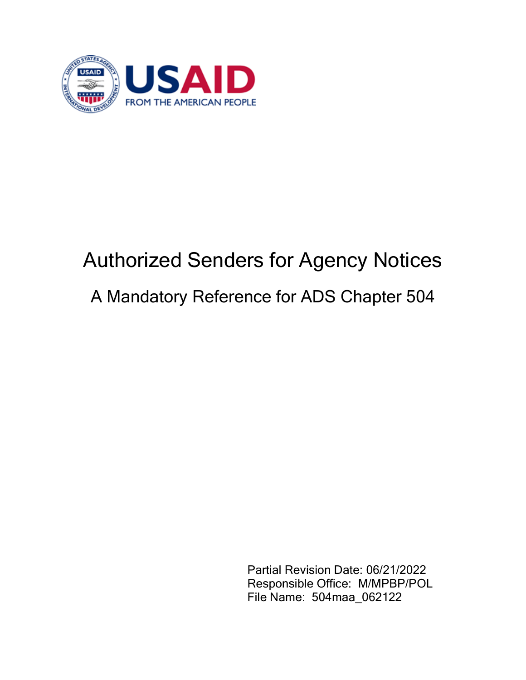

## Authorized Senders for Agency Notices A Mandatory Reference for ADS Chapter 504

Partial Revision Date: 06/21/2022 Responsible Office: M/MPBP/POL File Name: 504maa\_062122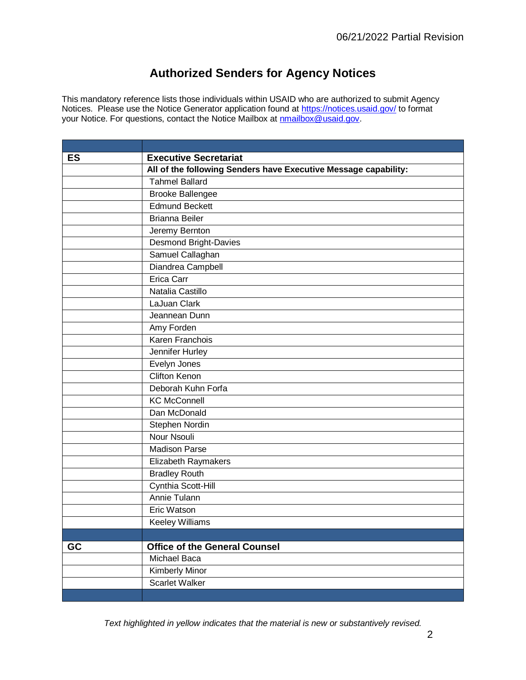## **Authorized Senders for Agency Notices**

This mandatory reference lists those individuals within USAID who are authorized to submit Agency Notices. Please use the Notice Generator application found at<https://notices.usaid.gov/> to format your Notice. For questions, contact the Notice Mailbox at [nmailbox@usaid.gov.](mailto:nmailbox@usaid.gov)

| <b>ES</b> | <b>Executive Secretariat</b>                                    |
|-----------|-----------------------------------------------------------------|
|           | All of the following Senders have Executive Message capability: |
|           | <b>Tahmel Ballard</b>                                           |
|           | <b>Brooke Ballengee</b>                                         |
|           | <b>Edmund Beckett</b>                                           |
|           | <b>Brianna Beiler</b>                                           |
|           | Jeremy Bernton                                                  |
|           | Desmond Bright-Davies                                           |
|           | Samuel Callaghan                                                |
|           | Diandrea Campbell                                               |
|           | <b>Erica Carr</b>                                               |
|           | Natalia Castillo                                                |
|           | LaJuan Clark                                                    |
|           | Jeannean Dunn                                                   |
|           | Amy Forden                                                      |
|           | Karen Franchois                                                 |
|           | Jennifer Hurley                                                 |
|           | Evelyn Jones                                                    |
|           | <b>Clifton Kenon</b>                                            |
|           | Deborah Kuhn Forfa                                              |
|           | <b>KC McConnell</b>                                             |
|           | Dan McDonald                                                    |
|           | Stephen Nordin                                                  |
|           | Nour Nsouli                                                     |
|           | <b>Madison Parse</b>                                            |
|           | Elizabeth Raymakers                                             |
|           | <b>Bradley Routh</b>                                            |
|           | Cynthia Scott-Hill                                              |
|           | Annie Tulann                                                    |
|           | Eric Watson                                                     |
|           | Keeley Williams                                                 |
|           |                                                                 |
| GC        | <b>Office of the General Counsel</b>                            |
|           | Michael Baca                                                    |
|           | <b>Kimberly Minor</b>                                           |
|           | <b>Scarlet Walker</b>                                           |
|           |                                                                 |

*Text highlighted in yellow indicates that the material is new or substantively revised.*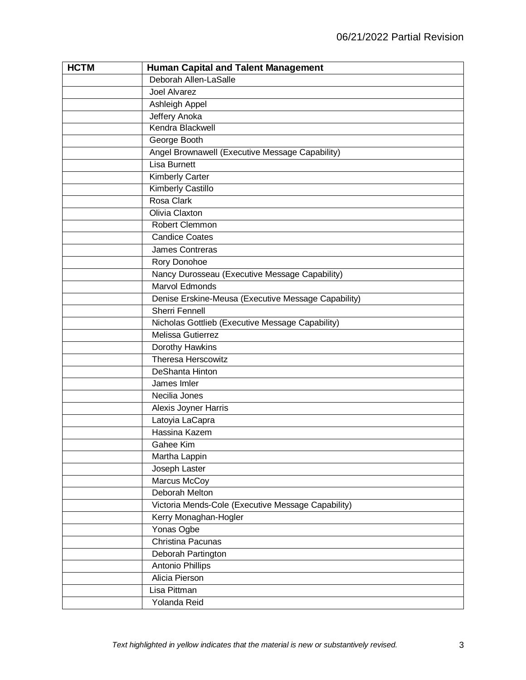| <b>HCTM</b> | <b>Human Capital and Talent Management</b>          |
|-------------|-----------------------------------------------------|
|             | Deborah Allen-LaSalle                               |
|             | Joel Alvarez                                        |
|             | Ashleigh Appel                                      |
|             | Jeffery Anoka                                       |
|             | Kendra Blackwell                                    |
|             | George Booth                                        |
|             | Angel Brownawell (Executive Message Capability)     |
|             | <b>Lisa Burnett</b>                                 |
|             | <b>Kimberly Carter</b>                              |
|             | <b>Kimberly Castillo</b>                            |
|             | Rosa Clark                                          |
|             | Olivia Claxton                                      |
|             | Robert Clemmon                                      |
|             | <b>Candice Coates</b>                               |
|             | James Contreras                                     |
|             | Rory Donohoe                                        |
|             | Nancy Durosseau (Executive Message Capability)      |
|             | Marvol Edmonds                                      |
|             | Denise Erskine-Meusa (Executive Message Capability) |
|             | <b>Sherri Fennell</b>                               |
|             | Nicholas Gottlieb (Executive Message Capability)    |
|             | Melissa Gutierrez                                   |
|             | Dorothy Hawkins                                     |
|             | <b>Theresa Herscowitz</b>                           |
|             | DeShanta Hinton                                     |
|             | James Imler                                         |
|             | Necilia Jones                                       |
|             | Alexis Joyner Harris                                |
|             | Latoyia LaCapra                                     |
|             | Hassina Kazem                                       |
|             | Gahee Kim                                           |
|             | Martha Lappin                                       |
|             | Joseph Laster                                       |
|             | Marcus McCoy                                        |
|             | Deborah Melton                                      |
|             | Victoria Mends-Cole (Executive Message Capability)  |
|             | Kerry Monaghan-Hogler                               |
|             | Yonas Ogbe                                          |
|             | Christina Pacunas                                   |
|             | Deborah Partington                                  |
|             | Antonio Phillips                                    |
|             | Alicia Pierson                                      |
|             | Lisa Pittman                                        |
|             | Yolanda Reid                                        |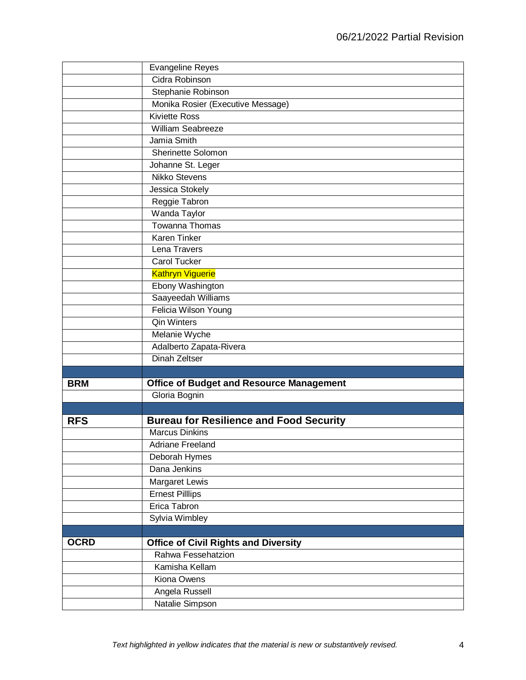|             | <b>Evangeline Reyes</b>                         |
|-------------|-------------------------------------------------|
|             | Cidra Robinson                                  |
|             | Stephanie Robinson                              |
|             | Monika Rosier (Executive Message)               |
|             | <b>Kiviette Ross</b>                            |
|             | William Seabreeze                               |
|             | Jamia Smith                                     |
|             | Sherinette Solomon                              |
|             | Johanne St. Leger                               |
|             | Nikko Stevens                                   |
|             | Jessica Stokely                                 |
|             | Reggie Tabron                                   |
|             | Wanda Taylor                                    |
|             | Towanna Thomas                                  |
|             | <b>Karen Tinker</b>                             |
|             | Lena Travers                                    |
|             | <b>Carol Tucker</b>                             |
|             | <b>Kathryn Viguerie</b>                         |
|             | Ebony Washington                                |
|             | Saayeedah Williams                              |
|             | Felicia Wilson Young                            |
|             | <b>Qin Winters</b>                              |
|             | <b>Melanie Wyche</b>                            |
|             | Adalberto Zapata-Rivera                         |
|             | <b>Dinah Zeltser</b>                            |
|             |                                                 |
| <b>BRM</b>  | <b>Office of Budget and Resource Management</b> |
|             | Gloria Bognin                                   |
|             |                                                 |
| <b>RFS</b>  | <b>Bureau for Resilience and Food Security</b>  |
|             | <b>Marcus Dinkins</b>                           |
|             | <b>Adriane Freeland</b>                         |
|             | Deborah Hymes                                   |
|             | Dana Jenkins                                    |
|             | Margaret Lewis                                  |
|             | <b>Ernest Pilllips</b>                          |
|             | Erica Tabron                                    |
|             | Sylvia Wimbley                                  |
|             |                                                 |
| <b>OCRD</b> | <b>Office of Civil Rights and Diversity</b>     |
|             | Rahwa Fessehatzion                              |
|             | Kamisha Kellam                                  |
|             | Kiona Owens                                     |
|             | Angela Russell                                  |
|             | Natalie Simpson                                 |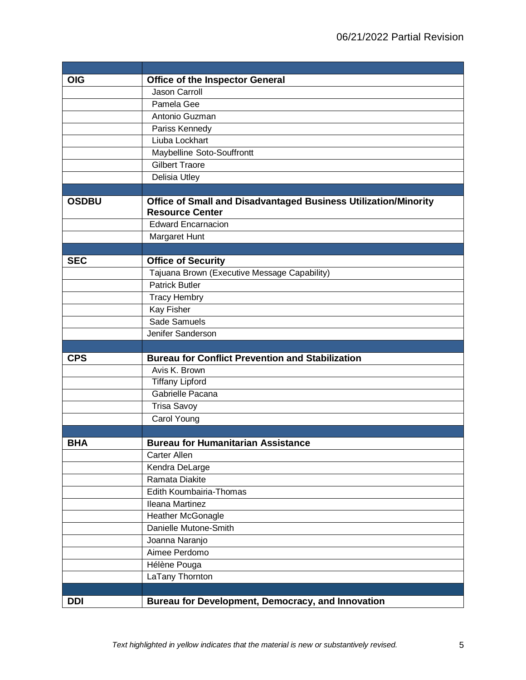| <b>OIG</b>   | <b>Office of the Inspector General</b>                                                           |
|--------------|--------------------------------------------------------------------------------------------------|
|              | <b>Jason Carroll</b>                                                                             |
|              | Pamela Gee                                                                                       |
|              | Antonio Guzman                                                                                   |
|              | Pariss Kennedy                                                                                   |
|              | Liuba Lockhart                                                                                   |
|              | Maybelline Soto-Souffrontt                                                                       |
|              | <b>Gilbert Traore</b>                                                                            |
|              | Delisia Utley                                                                                    |
|              |                                                                                                  |
| <b>OSDBU</b> | <b>Office of Small and Disadvantaged Business Utilization/Minority</b><br><b>Resource Center</b> |
|              | <b>Edward Encarnacion</b>                                                                        |
|              | Margaret Hunt                                                                                    |
|              |                                                                                                  |
| <b>SEC</b>   | <b>Office of Security</b>                                                                        |
|              | Tajuana Brown (Executive Message Capability)                                                     |
|              | <b>Patrick Butler</b>                                                                            |
|              | <b>Tracy Hembry</b>                                                                              |
|              | Kay Fisher                                                                                       |
|              | Sade Samuels                                                                                     |
|              | Jenifer Sanderson                                                                                |
|              |                                                                                                  |
| <b>CPS</b>   | <b>Bureau for Conflict Prevention and Stabilization</b>                                          |
|              | Avis K. Brown                                                                                    |
|              | <b>Tiffany Lipford</b>                                                                           |
|              | Gabrielle Pacana                                                                                 |
|              | <b>Trisa Savoy</b>                                                                               |
|              | Carol Young                                                                                      |
|              |                                                                                                  |
| <b>BHA</b>   | <b>Bureau for Humanitarian Assistance</b>                                                        |
|              | <b>Carter Allen</b>                                                                              |
|              | Kendra DeLarge                                                                                   |
|              | Ramata Diakite                                                                                   |
|              | Edith Koumbairia-Thomas                                                                          |
|              | Ileana Martinez                                                                                  |
|              | <b>Heather McGonagle</b>                                                                         |
|              | Danielle Mutone-Smith                                                                            |
|              | Joanna Naranjo                                                                                   |
|              | Aimee Perdomo                                                                                    |
|              | Hélène Pouga                                                                                     |
|              | LaTany Thornton                                                                                  |
|              |                                                                                                  |
| <b>DDI</b>   | Bureau for Development, Democracy, and Innovation                                                |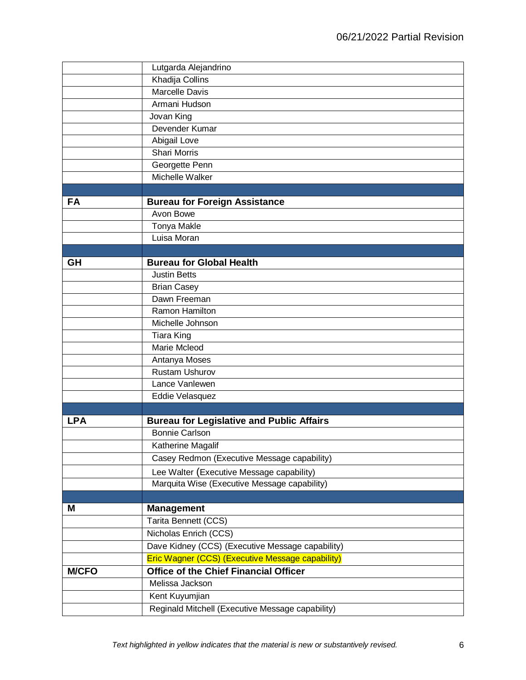|              | Lutgarda Alejandrino                                    |
|--------------|---------------------------------------------------------|
|              | Khadija Collins                                         |
|              | <b>Marcelle Davis</b>                                   |
|              | Armani Hudson                                           |
|              | Jovan King                                              |
|              | Devender Kumar                                          |
|              | Abigail Love                                            |
|              | <b>Shari Morris</b>                                     |
|              | Georgette Penn                                          |
|              | Michelle Walker                                         |
|              |                                                         |
| <b>FA</b>    | <b>Bureau for Foreign Assistance</b>                    |
|              | Avon Bowe                                               |
|              | Tonya Makle                                             |
|              | Luisa Moran                                             |
|              |                                                         |
| GH           | <b>Bureau for Global Health</b>                         |
|              | <b>Justin Betts</b>                                     |
|              | <b>Brian Casey</b>                                      |
|              | Dawn Freeman                                            |
|              | Ramon Hamilton                                          |
|              | Michelle Johnson                                        |
|              | <b>Tiara King</b>                                       |
|              | Marie Mcleod                                            |
|              | Antanya Moses                                           |
|              | <b>Rustam Ushurov</b>                                   |
|              | Lance Vanlewen                                          |
|              | Eddie Velasquez                                         |
|              |                                                         |
| <b>LPA</b>   | <b>Bureau for Legislative and Public Affairs</b>        |
|              | <b>Bonnie Carlson</b>                                   |
|              | Katherine Magalif                                       |
|              | Casey Redmon (Executive Message capability)             |
|              | Lee Walter (Executive Message capability)               |
|              | Marquita Wise (Executive Message capability)            |
|              |                                                         |
| M            | <b>Management</b>                                       |
|              | Tarita Bennett (CCS)                                    |
|              | Nicholas Enrich (CCS)                                   |
|              | Dave Kidney (CCS) (Executive Message capability)        |
|              | <b>Eric Wagner (CCS) (Executive Message capability)</b> |
| <b>M/CFO</b> | <b>Office of the Chief Financial Officer</b>            |
|              | Melissa Jackson                                         |
|              | Kent Kuyumjian                                          |
|              | Reginald Mitchell (Executive Message capability)        |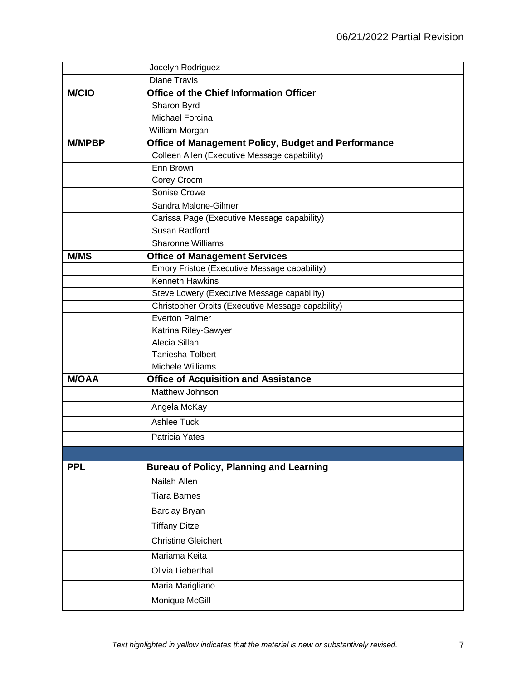|               | Jocelyn Rodriguez                                              |
|---------------|----------------------------------------------------------------|
|               | <b>Diane Travis</b>                                            |
| <b>M/CIO</b>  | <b>Office of the Chief Information Officer</b>                 |
|               | Sharon Byrd                                                    |
|               | Michael Forcina                                                |
|               | William Morgan                                                 |
| <b>M/MPBP</b> | Office of Management Policy, Budget and Performance            |
|               | Colleen Allen (Executive Message capability)                   |
|               | Erin Brown                                                     |
|               | Corey Croom                                                    |
|               | Sonise Crowe                                                   |
|               | Sandra Malone-Gilmer                                           |
|               | Carissa Page (Executive Message capability)                    |
|               | Susan Radford                                                  |
|               | <b>Sharonne Williams</b>                                       |
| <b>M/MS</b>   | <b>Office of Management Services</b>                           |
|               | Emory Fristoe (Executive Message capability)                   |
|               | <b>Kenneth Hawkins</b>                                         |
|               | Steve Lowery (Executive Message capability)                    |
|               | Christopher Orbits (Executive Message capability)              |
|               | <b>Everton Palmer</b>                                          |
|               | Katrina Riley-Sawyer                                           |
|               | Alecia Sillah                                                  |
|               | <b>Taniesha Tolbert</b><br>Michele Williams                    |
| <b>M/OAA</b>  |                                                                |
|               | <b>Office of Acquisition and Assistance</b><br>Matthew Johnson |
|               |                                                                |
|               | Angela McKay                                                   |
|               | Ashlee Tuck                                                    |
|               | Patricia Yates                                                 |
|               |                                                                |
| <b>PPL</b>    | <b>Bureau of Policy, Planning and Learning</b>                 |
|               | Nailah Allen                                                   |
|               | <b>Tiara Barnes</b>                                            |
|               | Barclay Bryan                                                  |
|               | <b>Tiffany Ditzel</b>                                          |
|               | <b>Christine Gleichert</b>                                     |
|               | Mariama Keita                                                  |
|               | Olivia Lieberthal                                              |
|               | Maria Marigliano                                               |
|               | Monique McGill                                                 |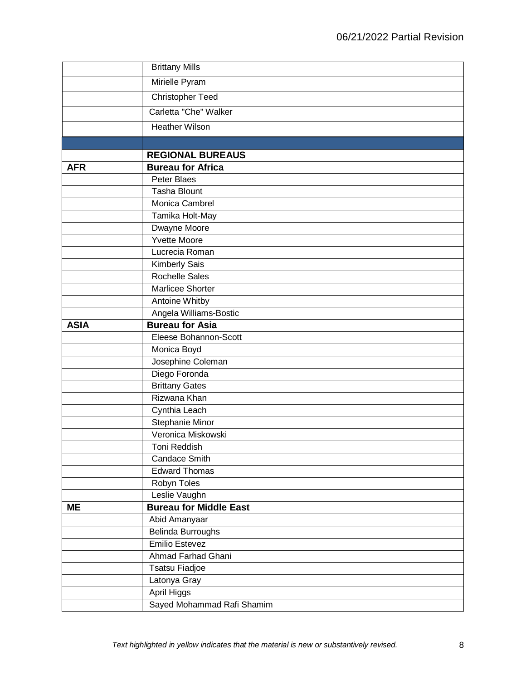|             | <b>Brittany Mills</b>                             |
|-------------|---------------------------------------------------|
|             | Mirielle Pyram                                    |
|             | <b>Christopher Teed</b>                           |
|             | Carletta "Che" Walker                             |
|             | <b>Heather Wilson</b>                             |
|             |                                                   |
|             | <b>REGIONAL BUREAUS</b>                           |
| <b>AFR</b>  | <b>Bureau for Africa</b>                          |
|             | Peter Blaes                                       |
|             | <b>Tasha Blount</b>                               |
|             | Monica Cambrel                                    |
|             | Tamika Holt-May                                   |
|             | Dwayne Moore                                      |
|             | <b>Yvette Moore</b>                               |
|             | Lucrecia Roman                                    |
|             | Kimberly Sais                                     |
|             | <b>Rochelle Sales</b>                             |
|             | Marlicee Shorter                                  |
|             | Antoine Whitby                                    |
|             | Angela Williams-Bostic                            |
| <b>ASIA</b> | <b>Bureau for Asia</b>                            |
|             | Eleese Bohannon-Scott                             |
|             | Monica Boyd                                       |
|             | Josephine Coleman                                 |
|             | Diego Foronda                                     |
|             | <b>Brittany Gates</b>                             |
|             | Rizwana Khan                                      |
|             | Cynthia Leach                                     |
|             | Stephanie Minor                                   |
|             | Veronica Miskowski                                |
|             | Toni Reddish                                      |
|             | <b>Candace Smith</b>                              |
|             | <b>Edward Thomas</b>                              |
|             | Robyn Toles                                       |
|             | Leslie Vaughn                                     |
| <b>ME</b>   | <b>Bureau for Middle East</b>                     |
|             | Abid Amanyaar                                     |
|             | <b>Belinda Burroughs</b><br><b>Emilio Estevez</b> |
|             | Ahmad Farhad Ghani                                |
|             |                                                   |
|             | <b>Tsatsu Fiadjoe</b>                             |
|             | Latonya Gray                                      |
|             | April Higgs                                       |
|             | Sayed Mohammad Rafi Shamim                        |